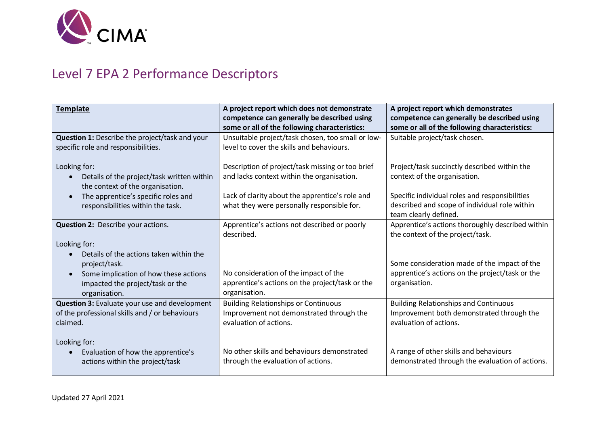

## Level 7 EPA 2 Performance Descriptors

| <b>Template</b>                                                                                                                                                                     | A project report which does not demonstrate<br>competence can generally be described using<br>some or all of the following characteristics: | A project report which demonstrates<br>competence can generally be described using<br>some or all of the following characteristics: |
|-------------------------------------------------------------------------------------------------------------------------------------------------------------------------------------|---------------------------------------------------------------------------------------------------------------------------------------------|-------------------------------------------------------------------------------------------------------------------------------------|
| Question 1: Describe the project/task and your<br>specific role and responsibilities.                                                                                               | Unsuitable project/task chosen, too small or low-<br>level to cover the skills and behaviours.                                              | Suitable project/task chosen.                                                                                                       |
| Looking for:<br>Details of the project/task written within<br>the context of the organisation.                                                                                      | Description of project/task missing or too brief<br>and lacks context within the organisation.                                              | Project/task succinctly described within the<br>context of the organisation.                                                        |
| The apprentice's specific roles and<br>responsibilities within the task.                                                                                                            | Lack of clarity about the apprentice's role and<br>what they were personally responsible for.                                               | Specific individual roles and responsibilities<br>described and scope of individual role within<br>team clearly defined.            |
| Question 2: Describe your actions.                                                                                                                                                  | Apprentice's actions not described or poorly<br>described.                                                                                  | Apprentice's actions thoroughly described within<br>the context of the project/task.                                                |
| Looking for:<br>Details of the actions taken within the<br>project/task.<br>Some implication of how these actions<br>$\bullet$<br>impacted the project/task or the<br>organisation. | No consideration of the impact of the<br>apprentice's actions on the project/task or the<br>organisation.                                   | Some consideration made of the impact of the<br>apprentice's actions on the project/task or the<br>organisation.                    |
| Question 3: Evaluate your use and development<br>of the professional skills and / or behaviours<br>claimed.                                                                         | <b>Building Relationships or Continuous</b><br>Improvement not demonstrated through the<br>evaluation of actions.                           | <b>Building Relationships and Continuous</b><br>Improvement both demonstrated through the<br>evaluation of actions.                 |
| Looking for:<br>Evaluation of how the apprentice's<br>actions within the project/task                                                                                               | No other skills and behaviours demonstrated<br>through the evaluation of actions.                                                           | A range of other skills and behaviours<br>demonstrated through the evaluation of actions.                                           |